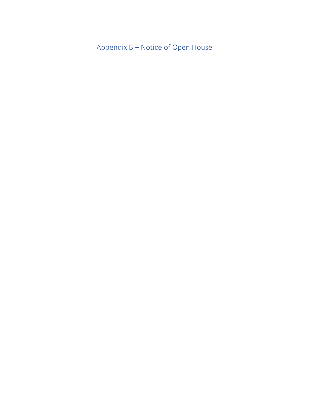Appendix B – Notice of Open House